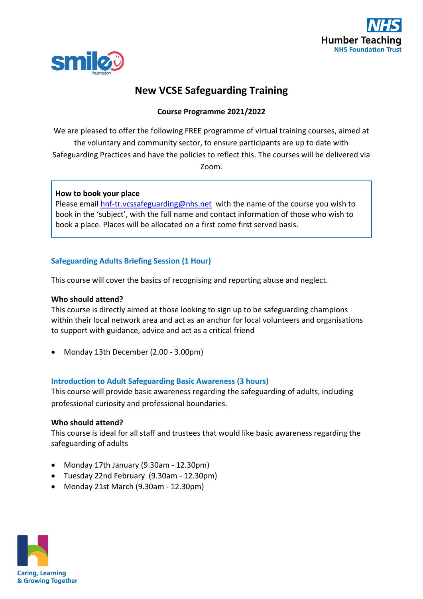



# **New VCSE Safeguarding Training**

# **Course Programme 2021/2022**

We are pleased to offer the following FREE programme of virtual training courses, aimed at the voluntary and community sector, to ensure participants are up to date with Safeguarding Practices and have the policies to reflect this. The courses will be delivered via Zoom.

## **How to book your place**

Please email [hnf-tr.vcssafeguarding@nhs.net](mailto:hnf-tr.vcssafeguarding@nhs.net) with the name of the course you wish to book in the 'subject', with the full name and contact information of those who wish to book a place. Places will be allocated on a first come first served basis.

# **Safeguarding Adults Briefing Session (1 Hour)**

This course will cover the basics of recognising and reporting abuse and neglect.

## **Who should attend?**

This course is directly aimed at those looking to sign up to be safeguarding champions within their local network area and act as an anchor for local volunteers and organisations to support with guidance, advice and act as a critical friend

• Monday 13th December (2.00 - 3.00pm)

# **Introduction to Adult Safeguarding Basic Awareness (3 hours)**

This course will provide basic awareness regarding the safeguarding of adults, including professional curiosity and professional boundaries.

#### **Who should attend?**

This course is ideal for all staff and trustees that would like basic awareness regarding the safeguarding of adults

- Monday 17th January (9.30am 12.30pm)
- Tuesday 22nd February (9.30am 12.30pm)
- Monday 21st March (9.30am 12.30pm)

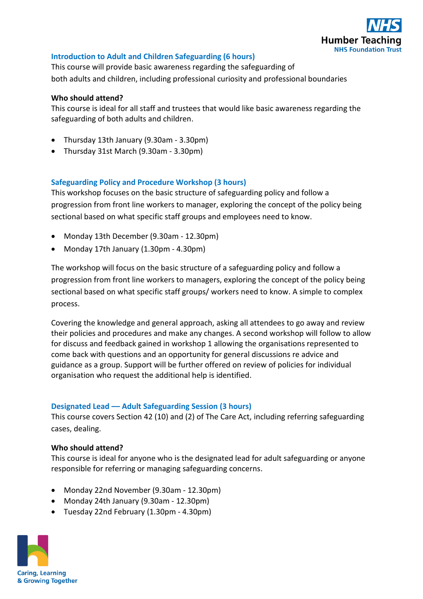

## **Introduction to Adult and Children Safeguarding (6 hours)**

This course will provide basic awareness regarding the safeguarding of both adults and children, including professional curiosity and professional boundaries

#### **Who should attend?**

This course is ideal for all staff and trustees that would like basic awareness regarding the safeguarding of both adults and children.

- Thursday 13th January (9.30am 3.30pm)
- Thursday 31st March (9.30am 3.30pm)

## **Safeguarding Policy and Procedure Workshop (3 hours)**

This workshop focuses on the basic structure of safeguarding policy and follow a progression from front line workers to manager, exploring the concept of the policy being sectional based on what specific staff groups and employees need to know.

- Monday 13th December (9.30am 12.30pm)
- Monday 17th January (1.30pm 4.30pm)

The workshop will focus on the basic structure of a safeguarding policy and follow a progression from front line workers to managers, exploring the concept of the policy being sectional based on what specific staff groups/ workers need to know. A simple to complex process.

Covering the knowledge and general approach, asking all attendees to go away and review their policies and procedures and make any changes. A second workshop will follow to allow for discuss and feedback gained in workshop 1 allowing the organisations represented to come back with questions and an opportunity for general discussions re advice and guidance as a group. Support will be further offered on review of policies for individual organisation who request the additional help is identified.

#### **Designated Lead –– Adult Safeguarding Session (3 hours)**

This course covers Section 42 (10) and (2) of The Care Act, including referring safeguarding cases, dealing.

#### **Who should attend?**

This course is ideal for anyone who is the designated lead for adult safeguarding or anyone responsible for referring or managing safeguarding concerns.

- Monday 22nd November (9.30am 12.30pm)
- Monday 24th January (9.30am 12.30pm)
- Tuesday 22nd February (1.30pm 4.30pm)